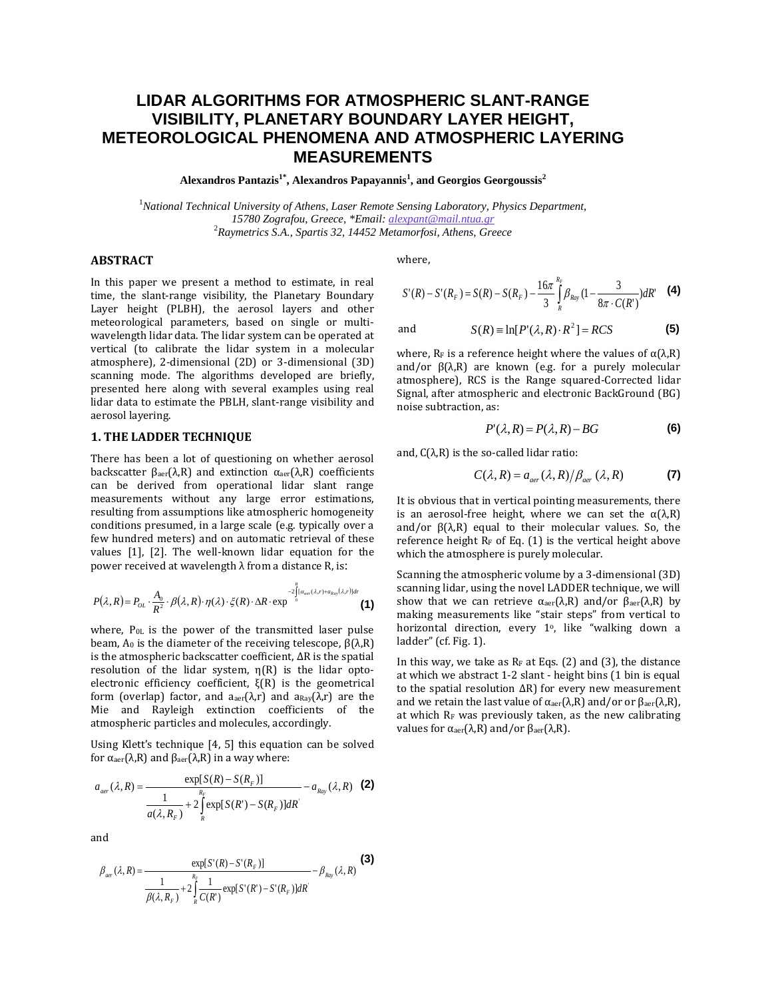# **LIDAR ALGORITHMS FOR ATMOSPHERIC SLANT-RANGE VISIBILITY, PLANETARY BOUNDARY LAYER HEIGHT, METEOROLOGICAL PHENOMENA AND ATMOSPHERIC LAYERING MEASUREMENTS**

**Alexandros Pantazis1\* , Alexandros Papayannis<sup>1</sup> , and Georgios Georgoussis<sup>2</sup>**

<sup>1</sup>*National Technical University of Athens, Laser Remote Sensing Laboratory, Physics Department, 15780 Zografou, Greece, \*Email[: alexpant@mail.ntua.gr](mailto:alexpant@mail.ntua.gr)* <sup>2</sup>*Raymetrics S.A., Spartis 32, 14452 Metamorfosi, Athens, Greece*

**(3)**

## **ABSTRACT**

In this paper we present a method to estimate, in real time, the slant-range visibility, the Planetary Boundary Layer height (PLBH), the aerosol layers and other meteorological parameters, based on single or multiwavelength lidar data. The lidar system can be operated at vertical (to calibrate the lidar system in a molecular atmosphere), 2-dimensional (2D) or 3-dimensional (3D) scanning mode. The algorithms developed are briefly, presented here along with several examples using real lidar data to estimate the PBLH, slant-range visibility and aerosol layering.

# **1. THE LADDER TECHNIQUE**

There has been a lot of questioning on whether aerosol backscatter  $\beta_{\text{aer}}(\lambda,R)$  and extinction  $\alpha_{\text{aer}}(\lambda,R)$  coefficients can be derived from operational lidar slant range measurements without any large error estimations, resulting from assumptions like atmospheric homogeneity conditions presumed, in a large scale (e.g. typically over a few hundred meters) and on automatic retrieval of these values [1], [2]. The well-known lidar equation for the power received at wavelength λ from a distance R, is:

$$
P(\lambda, R) = P_{OL} \cdot \frac{A_0}{R^2} \cdot \beta(\lambda, R) \cdot \eta(\lambda) \cdot \xi(R) \cdot \Delta R \cdot \exp^{\int_{2}^{2} [\alpha_{\text{der}}(\lambda, r) + \alpha_{\text{Ray}}(\lambda, r)] dr}
$$
(1)

where, P0L is the power of the transmitted laser pulse beam,  $A_0$  is the diameter of the receiving telescope,  $\beta(\lambda,R)$ is the atmospheric backscatter coefficient, ΔR is the spatial resolution of the lidar system, η(R) is the lidar optoelectronic efficiency coefficient, ξ(R) is the geometrical form (overlap) factor, and  $a_{\text{aer}}(\lambda,r)$  and  $a_{\text{Ray}}(\lambda,r)$  are the Mie and Rayleigh extinction coefficients of the atmospheric particles and molecules, accordingly.

Using Klett's technique [4, 5] this equation can be solved for αaer(λ,R) and βaer(λ,R) in a way where:

$$
a_{\text{aer}}(\lambda, R) = \frac{\exp[S(R) - S(R_F)]}{\frac{1}{a(\lambda, R_F)} + 2 \int_{R}^{R_F} \exp[S(R') - S(R_F)]dR} - a_{\text{Ray}}(\lambda, R)
$$
 (2)

and

$$
\beta_{\text{aer}}(\lambda, R) = \frac{\exp[S'(R) - S'(R_F)]}{\frac{1}{\beta(\lambda, R_F)} + 2\int\limits_R^{R_F} \frac{1}{C(R')}\exp[S'(R') - S'(R_F)]dR'} - \beta_{\text{Ray}}(\lambda, R)
$$
(3)

where,

and

$$
S'(R) - S'(R_F) = S(R) - S(R_F) - \frac{16\pi}{3} \int_{R}^{R_F} \beta_{Ray} (1 - \frac{3}{8\pi \cdot C(R)}) dR' \quad (4)
$$

$$
S(R) \equiv \ln[P'(\lambda, R) \cdot R^2] = RCS
$$
 (5)

where,  $R_F$  is a reference height where the values of  $\alpha(\lambda,R)$ and/or  $β(λ,R)$  are known (e.g. for a purely molecular atmosphere), RCS is the Range squared-Corrected lidar Signal, after atmospheric and electronic BackGround (BG) noise subtraction, as:

$$
P'(\lambda, R) = P(\lambda, R) - BG
$$
 (6)

and,  $C(λ, R)$  is the so-called lidar ratio:

$$
C(\lambda, R) = a_{\text{aer}}(\lambda, R) / \beta_{\text{aer}}(\lambda, R)
$$
 (7)

It is obvious that in vertical pointing measurements, there is an aerosol-free height, where we can set the  $α(λ, R)$ and/or  $\beta(\lambda,R)$  equal to their molecular values. So, the reference height  $R_F$  of Eq. (1) is the vertical height above which the atmosphere is purely molecular.

Scanning the atmospheric volume by a 3-dimensional (3D) scanning lidar, using the novel LADDER technique, we will show that we can retrieve  $\alpha_{\text{aer}}(\lambda,R)$  and/or  $\beta_{\text{aer}}(\lambda,R)$  by making measurements like "stair steps" from vertical to horizontal direction, every  $1^\circ$ , like "walking down a ladder" (cf. Fig. 1).

In this way, we take as  $R_F$  at Eqs. (2) and (3), the distance at which we abstract 1-2 slant - height bins (1 bin is equal to the spatial resolution ΔR) for every new measurement and we retain the last value of  $\alpha_{\text{aer}}(\lambda,R)$  and/or or  $\beta_{\text{aer}}(\lambda,R)$ , at which R<sup>F</sup> was previously taken, as the new calibrating values for  $\alpha_{\text{aer}}(\lambda,R)$  and/or  $\beta_{\text{aer}}(\lambda,R)$ .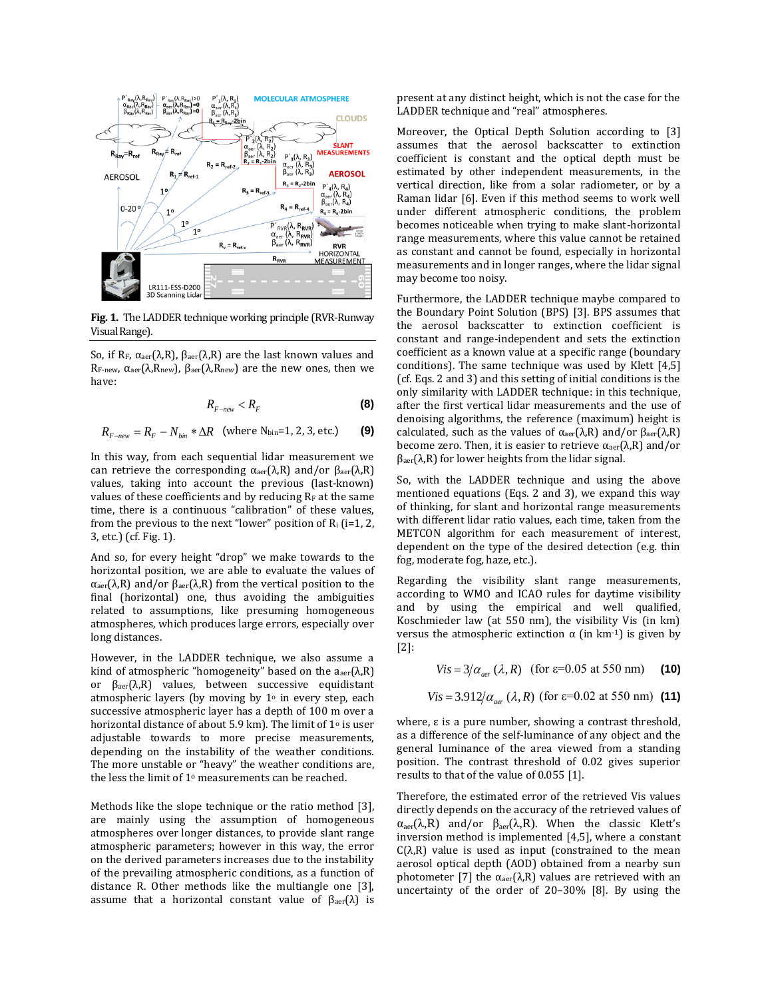

**Fig. 1.** The LADDER technique working principle (RVR-Runway Visual Range).

So, if R<sub>F</sub>,  $\alpha_{\text{aer}}(\lambda, R)$ ,  $\beta_{\text{aer}}(\lambda, R)$  are the last known values and RF-new, αaer(λ,Rnew), βaer(λ,Rnew) are the new ones, then we have:

$$
R_{F-new} < R_F \tag{8}
$$

$$
R_{F-new} = R_F - N_{bin} * \Delta R \quad \text{(where N}_{bin}=1, 2, 3, \text{etc.}) \tag{9}
$$

In this way, from each sequential lidar measurement we can retrieve the corresponding  $α<sub>aer</sub>(λ,R)$  and/or  $β<sub>aer</sub>(λ,R)$ values, taking into account the previous (last-known) values of these coefficients and by reducing  $R_F$  at the same time, there is a continuous "calibration" of these values, from the previous to the next "lower" position of  $R_i$  (i=1, 2, 3, etc.) (cf. Fig. 1).

And so, for every height "drop" we make towards to the horizontal position, we are able to evaluate the values of αaer(λ,R) and/or βaer(λ,R) from the vertical position to the final (horizontal) one, thus avoiding the ambiguities related to assumptions, like presuming homogeneous atmospheres, which produces large errors, especially over long distances.

However, in the LADDER technique, we also assume a kind of atmospheric "homogeneity" based on the  $a_{\text{aer}}(λ, R)$ or βaer(λ,R) values, between successive equidistant atmospheric layers (by moving by  $1<sup>o</sup>$  in every step, each successive atmospheric layer has a depth of 100 m over a horizontal distance of about 5.9 km). The limit of 1<sup>o</sup> is user adjustable towards to more precise measurements, depending on the instability of the weather conditions. The more unstable or "heavy" the weather conditions are, the less the limit of 1<sup>o</sup> measurements can be reached.

Methods like the slope technique or the ratio method [3], are mainly using the assumption of homogeneous atmospheres over longer distances, to provide slant range atmospheric parameters; however in this way, the error on the derived parameters increases due to the instability of the prevailing atmospheric conditions, as a function of distance R. Other methods like the multiangle one [3], assume that a horizontal constant value of  $β<sub>aer</sub>(λ)$  is present at any distinct height, which is not the case for the LADDER technique and "real" atmospheres.

Moreover, the Optical Depth Solution according to [3] assumes that the aerosol backscatter to extinction coefficient is constant and the optical depth must be estimated by other independent measurements, in the vertical direction, like from a solar radiometer, or by a Raman lidar [6]. Even if this method seems to work well under different atmospheric conditions, the problem becomes noticeable when trying to make slant-horizontal range measurements, where this value cannot be retained as constant and cannot be found, especially in horizontal measurements and in longer ranges, where the lidar signal may become too noisy.

Furthermore, the LADDER technique maybe compared to the Boundary Point Solution (BPS) [3]. BPS assumes that the aerosol backscatter to extinction coefficient is constant and range-independent and sets the extinction coefficient as a known value at a specific range (boundary conditions). The same technique was used by Klett [4,5] (cf. Eqs. 2 and 3) and this setting of initial conditions is the only similarity with LADDER technique: in this technique, after the first vertical lidar measurements and the use of denoising algorithms, the reference (maximum) height is calculated, such as the values of  $\alpha_{\text{aer}}(\lambda,R)$  and/or  $\beta_{\text{aer}}(\lambda,R)$ become zero. Then, it is easier to retrieve  $\alpha_{\text{aer}}(\lambda,R)$  and/or  $β<sub>aer</sub>(λ, R)$  for lower heights from the lidar signal.

So, with the LADDER technique and using the above mentioned equations (Eqs. 2 and 3), we expand this way of thinking, for slant and horizontal range measurements with different lidar ratio values, each time, taken from the METCON algorithm for each measurement of interest, dependent on the type of the desired detection (e.g. thin fog, moderate fog, haze, etc.).

Regarding the visibility slant range measurements, according to WMO and ICAO rules for daytime visibility and by using the empirical and well qualified, Koschmieder law (at 550 nm), the visibility Vis (in km) versus the atmospheric extinction  $α$  (in km<sup>-1</sup>) is given by [2]:

 $Vis = 3/\alpha_{\text{der}} (\lambda, R)$  (for  $\varepsilon = 0.05$  at 550 nm) (10)

$$
Vis = 3.912/\alpha_{\text{aer}} (\lambda, R) \text{ (for } \varepsilon = 0.02 \text{ at } 550 \text{ nm)} \text{ (11)}
$$

where, ε is a pure number, showing a contrast threshold, as a difference of the self-luminance of any object and the general luminance of the area viewed from a standing position. The contrast threshold of 0.02 gives superior results to that of the value of 0.055 [1].

Therefore, the estimated error of the retrieved Vis values directly depends on the accuracy of the retrieved values of  $\alpha_{\text{aer}}(\lambda, R)$  and/or  $\beta_{\text{aer}}(\lambda, R)$ . When the classic Klett's inversion method is implemented [4,5], where a constant  $C(\lambda,R)$  value is used as input (constrained to the mean aerosol optical depth (AOD) obtained from a nearby sun photometer [7] the  $α<sub>aer</sub>(λ,R)$  values are retrieved with an uncertainty of the order of 20–30% [8]. By using the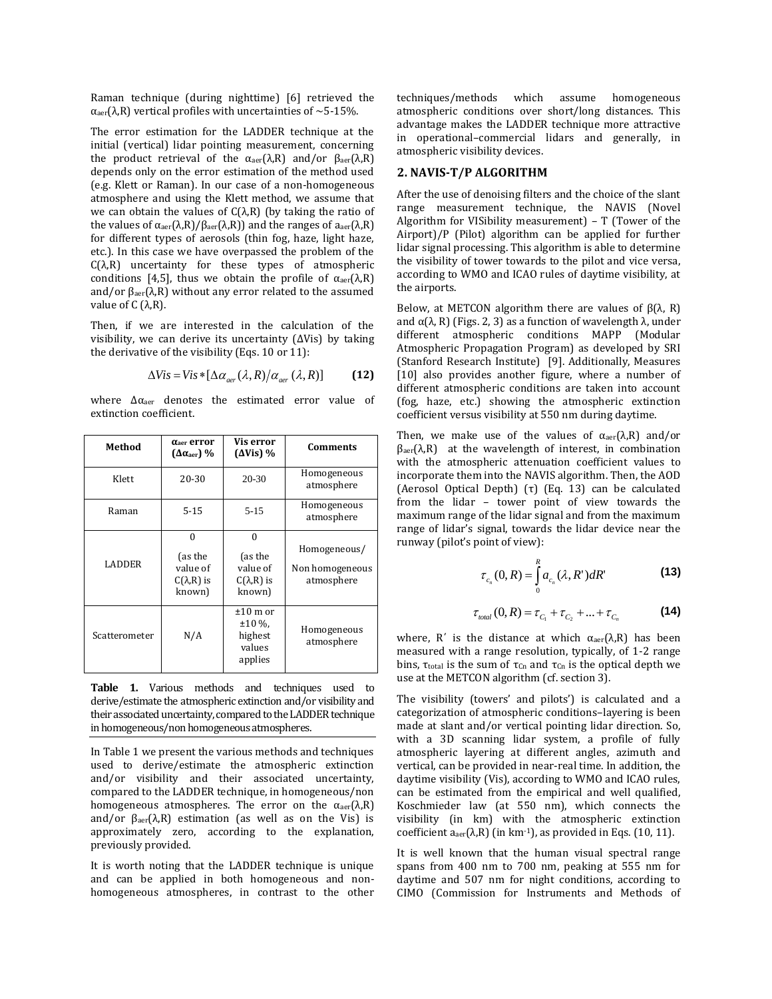Raman technique (during nighttime) [6] retrieved the αaer(λ,R) vertical profiles with uncertainties of ~5-15%.

The error estimation for the LADDER technique at the initial (vertical) lidar pointing measurement, concerning the product retrieval of the  $α<sub>aer</sub>(λ,R)$  and/or  $β<sub>aer</sub>(λ,R)$ depends only on the error estimation of the method used (e.g. Klett or Raman). In our case of a non-homogeneous atmosphere and using the Klett method, we assume that we can obtain the values of  $C(\lambda,R)$  (by taking the ratio of the values of  $α<sub>aer</sub>(λ,R)/β<sub>aer</sub>(λ,R)$  and the ranges of  $a<sub>aer</sub>(λ,R)$ for different types of aerosols (thin fog, haze, light haze, etc.). In this case we have overpassed the problem of the  $C(\lambda, R)$  uncertainty for these types of atmospheric conditions [4,5], thus we obtain the profile of  $\alpha_{\text{aer}}(\lambda,R)$ and/or  $\beta_{\text{aer}}(\lambda, R)$  without any error related to the assumed value of  $C(λ, R)$ .

Then, if we are interested in the calculation of the visibility, we can derive its uncertainty (ΔVis) by taking the derivative of the visibility (Eqs. 10 or 11):

$$
\Delta Vis = Vis * [\Delta \alpha_{\text{aer}}(\lambda, R) / \alpha_{\text{aer}}(\lambda, R)] \tag{12}
$$

where  $\Delta \alpha_{\text{aer}}$  denotes the estimated error value of extinction coefficient.

| Method        | $\alpha$ <sub>aer</sub> error<br>$(\Delta \alpha_{\text{aer}})$ % | Vis error<br>$(\Delta Vis)$ %                                  | Comments                                      |
|---------------|-------------------------------------------------------------------|----------------------------------------------------------------|-----------------------------------------------|
| Klett         | 20-30                                                             | $20 - 30$                                                      | Homogeneous<br>atmosphere                     |
| Raman         | $5 - 15$                                                          | $5 - 15$                                                       | Homogeneous<br>atmosphere                     |
| <b>LADDER</b> | $\Omega$<br>(as the<br>value of<br>$C(\lambda,R)$ is<br>known)    | $\Omega$<br>(as the<br>value of<br>$C(\lambda,R)$ is<br>known) | Homogeneous/<br>Non homogeneous<br>atmosphere |
| Scatterometer | N/A                                                               | $±10$ m or<br>$±10\%$ .<br>highest<br>values<br>applies        | Homogeneous<br>atmosphere                     |

Table 1. Various methods and techniques used to derive/estimate the atmospheric extinction and/or visibility and their associated uncertainty, compared to the LADDER technique in homogeneous/non homogeneous atmospheres.

In Table 1 we present the various methods and techniques used to derive/estimate the atmospheric extinction and/or visibility and their associated uncertainty, compared to the LADDER technique, in homogeneous/non homogeneous atmospheres. The error on the  $\alpha_{\text{aer}}(\lambda,R)$ and/or  $\beta_{\text{aer}}(\lambda, R)$  estimation (as well as on the Vis) is approximately zero, according to the explanation, previously provided.

It is worth noting that the LADDER technique is unique and can be applied in both homogeneous and nonhomogeneous atmospheres, in contrast to the other techniques/methods which assume homogeneous atmospheric conditions over short/long distances. This advantage makes the LADDER technique more attractive in operational–commercial lidars and generally, in atmospheric visibility devices.

## **2. NAVIS-T/P ALGORITHM**

After the use of denoising filters and the choice of the slant range measurement technique, the NAVIS (Novel Algorithm for VISibility measurement) – T (Tower of the Airport)/P (Pilot) algorithm can be applied for further lidar signal processing. This algorithm is able to determine the visibility of tower towards to the pilot and vice versa, according to WMO and ICAO rules of daytime visibility, at the airports.

Below, at METCON algorithm there are values of  $β(λ, R)$ and  $α(λ, R)$  (Figs. 2, 3) as a function of wavelength  $λ$ , under different atmospheric conditions MAPP (Modular Atmospheric Propagation Program) as developed by SRI (Stanford Research Institute) [9]. Additionally, Measures [10] also provides another figure, where a number of different atmospheric conditions are taken into account (fog, haze, etc.) showing the atmospheric extinction coefficient versus visibility at 550 nm during daytime.

Then, we make use of the values of  $\alpha_{\text{aer}}(\lambda,R)$  and/or  $\beta_{\text{aer}}(\lambda,R)$  at the wavelength of interest, in combination with the atmospheric attenuation coefficient values to incorporate them into the NAVIS algorithm. Then, the AOD (Aerosol Optical Depth) (τ) (Eq. 13) can be calculated from the lidar – tower point of view towards the maximum range of the lidar signal and from the maximum range of lidar's signal, towards the lidar device near the runway (pilot's point of view):

$$
\tau_{c_n}(0,R) = \int_{0}^{R} a_{c_n}(\lambda,R^{\prime})dR^{\prime}
$$
 (13)

$$
\tau_{\text{total}}(0, R) = \tau_{C_1} + \tau_{C_2} + ... + \tau_{C_n}
$$
 (14)

where, R<sup>'</sup> is the distance at which  $\alpha_{\text{aer}}(\lambda,R)$  has been measured with a range resolution, typically, of 1-2 range bins, τ<sub>total</sub> is the sum of τ<sub>Cn</sub> and τ<sub>Cn</sub> is the optical depth we use at the METCON algorithm (cf. section 3).

The visibility (towers' and pilots') is calculated and a categorization of atmospheric conditions–layering is been made at slant and/or vertical pointing lidar direction. So, with a 3D scanning lidar system, a profile of fully atmospheric layering at different angles, azimuth and vertical, can be provided in near-real time. In addition, the daytime visibility (Vis), according to WMO and ICAO rules, can be estimated from the empirical and well qualified, Koschmieder law (at 550 nm), which connects the visibility (in km) with the atmospheric extinction coefficient  $a_{\text{aer}}(λ,R)$  (in km<sup>-1</sup>), as provided in Eqs. (10, 11).

It is well known that the human visual spectral range spans from 400 nm to 700 nm, peaking at 555 nm for daytime and 507 nm for night conditions, according to CIMO (Commission for Instruments and Methods of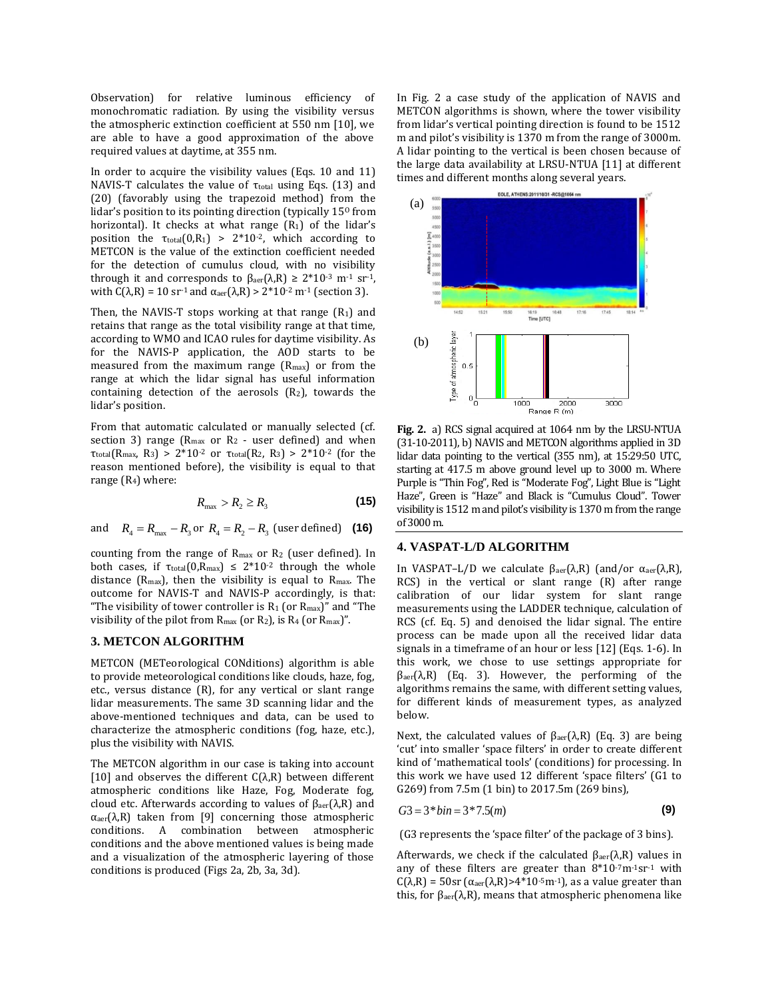Observation) for relative luminous efficiency of monochromatic radiation. By using the visibility versus the atmospheric extinction coefficient at 550 nm [10], we are able to have a good approximation of the above required values at daytime, at 355 nm.

In order to acquire the visibility values (Eqs. 10 and 11) NAVIS-T calculates the value of  $\tau_{total}$  using Eqs. (13) and (20) (favorably using the trapezoid method) from the lidar's position to its pointing direction (typically  $15<sup>o</sup>$  from horizontal). It checks at what range  $(R_1)$  of the lidar's position the  $\tau_{\text{total}}(0,R_1) > 2*10^{-2}$ , which according to METCON is the value of the extinction coefficient needed for the detection of cumulus cloud, with no visibility through it and corresponds to  $β<sub>aer</sub>(λ,R) ≥ 2*10<sup>-3</sup> m<sup>-1</sup> sr<sup>-1</sup>$ , with  $C(\lambda, R) = 10$  sr<sup>-1</sup> and  $\alpha_{\text{aer}}(\lambda, R) > 2*10^{-2}$  m<sup>-1</sup> (section 3).

Then, the NAVIS-T stops working at that range  $(R_1)$  and retains that range as the total visibility range at that time, according to WMO and ICAO rules for daytime visibility. As for the NAVIS-P application, the AOD starts to be measured from the maximum range  $(R_{max})$  or from the range at which the lidar signal has useful information containing detection of the aerosols  $(R_2)$ , towards the lidar's position.

From that automatic calculated or manually selected (cf. section 3) range ( $R_{max}$  or  $R_2$  - user defined) and when τtotal(Rmax, R3) > 2\*10-2 or τtotal(R2, R3) > 2\*10-2 (for the reason mentioned before), the visibility is equal to that range  $(R<sub>4</sub>)$  where:

$$
R_{\max} > R_2 \ge R_3 \tag{15}
$$

and  $R_4 = R_{\text{max}} - R_3$  or  $R_4 = R_2 - R_3$  (user defined) (16)

counting from the range of Rmax or R<sup>2</sup> (user defined). In both cases, if  $\tau_{\text{total}}(0, R_{\text{max}}) \leq 2*10^{-2}$  through the whole distance ( $R_{\text{max}}$ ), then the visibility is equal to  $R_{\text{max}}$ . The outcome for NAVIS-T and NAVIS-P accordingly, is that: "The visibility of tower controller is  $R_1$  (or  $R_{max}$ )" and "The visibility of the pilot from  $R_{\text{max}}$  (or  $R_2$ ), is  $R_4$  (or  $R_{\text{max}}$ )".

#### **3. METCON ALGORITHM**

METCON (METeorological CONditions) algorithm is able to provide meteorological conditions like clouds, haze, fog, etc., versus distance (R), for any vertical or slant range lidar measurements. The same 3D scanning lidar and the above-mentioned techniques and data, can be used to characterize the atmospheric conditions (fog, haze, etc.), plus the visibility with NAVIS.

The METCON algorithm in our case is taking into account [10] and observes the different  $C(\lambda,R)$  between different atmospheric conditions like Haze, Fog, Moderate fog, cloud etc. Afterwards according to values of  $β<sub>aer</sub>(λ,R)$  and  $\alpha_{\text{aer}}(\lambda,R)$  taken from [9] concerning those atmospheric conditions. A combination between atmospheric conditions and the above mentioned values is being made and a visualization of the atmospheric layering of those conditions is produced (Figs 2a, 2b, 3a, 3d).

In Fig. 2 a case study of the application of NAVIS and METCON algorithms is shown, where the tower visibility from lidar's vertical pointing direction is found to be 1512 m and pilot's visibility is 1370 m from the range of 3000m. A lidar pointing to the vertical is been chosen because of the large data availability at LRSU-NTUA [11] at different times and different months along several years.



**Fig. 2.** a) RCS signal acquired at 1064 nm by the LRSU-NTUA (31-10-2011), b) NAVIS and METCON algorithms applied in 3D lidar data pointing to the vertical (355 nm), at 15:29:50 UTC, starting at 417.5 m above ground level up to 3000 m. Where Purple is "Thin Fog", Red is "Moderate Fog", Light Blue is "Light Haze", Green is "Haze" and Black is "Cumulus Cloud". Tower visibility is 1512 m and pilot's visibility is 1370 m from the range of 3000 m.

## **4. VASPAT-L/D ALGORITHM**

In VASPAT–L/D we calculate  $\beta_{\text{aer}}(\lambda,R)$  (and/or α<sub>aer</sub>(λ,R), RCS) in the vertical or slant range (R) after range calibration of our lidar system for slant range measurements using the LADDER technique, calculation of RCS (cf. Eq. 5) and denoised the lidar signal. The entire process can be made upon all the received lidar data signals in a timeframe of an hour or less [12] (Eqs. 1-6). In this work, we chose to use settings appropriate for  $\beta_{\text{aer}}(\lambda,R)$  (Eq. 3). However, the performing of the algorithms remains the same, with different setting values, for different kinds of measurement types, as analyzed below.

Next, the calculated values of  $β<sub>aer</sub>(λ,R)$  (Eq. 3) are being 'cut' into smaller 'space filters' in order to create different kind of 'mathematical tools' (conditions) for processing. In this work we have used 12 different 'space filters' (G1 to G269) from 7.5m (1 bin) to 2017.5m (269 bins),

$$
G3 = 3 * bin = 3 * 7.5(m)
$$
 (9)

(G3 represents the 'space filter' of the package of 3 bins).

Afterwards, we check if the calculated  $β<sub>aer</sub>(λ, R)$  values in any of these filters are greater than  $8*10<sup>-7</sup>m<sup>-1</sup>sr<sup>-1</sup>$  with C( $\lambda$ ,R) = 50sr ( $\alpha$ <sub>aer</sub>( $\lambda$ ,R)>4\*10<sup>-5</sup>m<sup>-1</sup>), as a value greater than this, for  $β<sub>aer</sub>(λ, R)$ , means that atmospheric phenomena like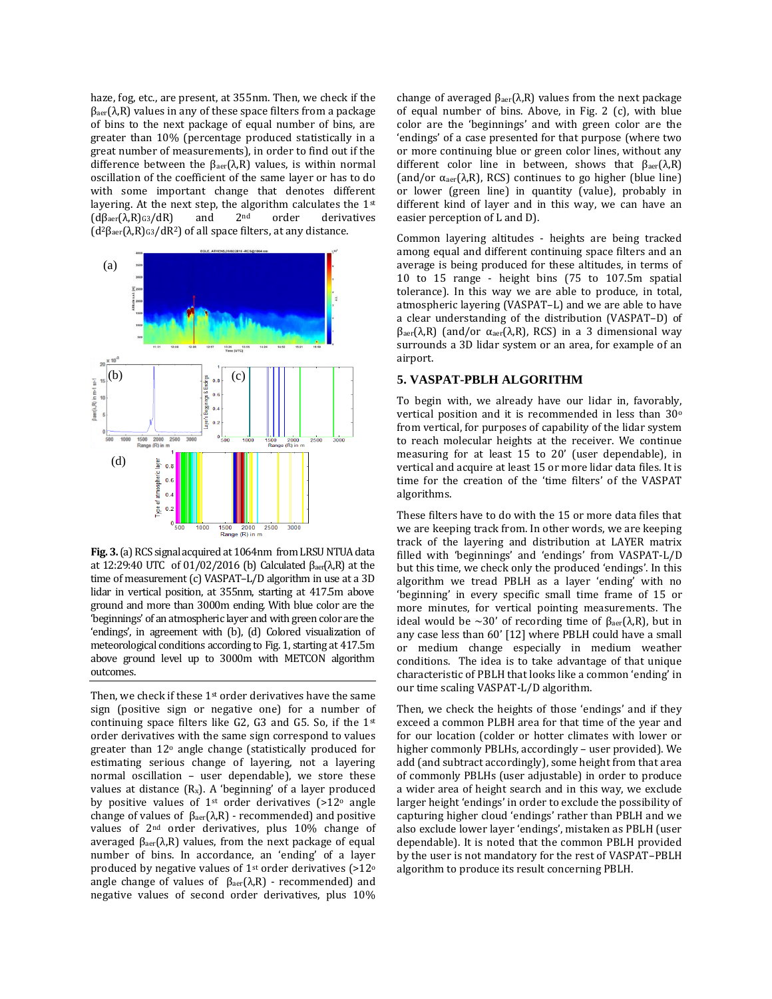haze, fog, etc., are present, at 355nm. Then, we check if the  $\beta_{\text{aer}}(\lambda,R)$  values in any of these space filters from a package of bins to the next package of equal number of bins, are greater than 10% (percentage produced statistically in a great number of measurements), in order to find out if the difference between the  $β<sub>aer</sub>(λ,R)$  values, is within normal oscillation of the coefficient of the same layer or has to do with some important change that denotes different layering. At the next step, the algorithm calculates the 1st  $(d\beta_{\text{aer}}(\lambda,R)_{G3}/dR)$  and  $2^{\text{nd}}$  order derivatives ( $d^2β_{aer}(\lambda,R)$ <sub>G3</sub>/dR<sup>2</sup>) of all space filters, at any distance.



**Fig. 3.**(a) RCS signal acquired at 1064nm from LRSU NTUA data at 12:29:40 UTC of 01/02/2016 (b) Calculated  $β<sub>aer</sub>(λ,R)$  at the time of measurement (c) VASPAT–L/D algorithm in use at a 3D lidar in vertical position, at 355nm, starting at 417.5m above ground and more than 3000m ending. With blue color are the 'beginnings' of an atmospheric layer and with green color are the 'endings', in agreement with (b), (d) Colored visualization of meteorological conditions according to Fig. 1, starting at 417.5m above ground level up to 3000m with METCON algorithm outcomes.

Then, we check if these 1<sup>st</sup> order derivatives have the same sign (positive sign or negative one) for a number of continuing space filters like G2, G3 and G5. So, if the 1st order derivatives with the same sign correspond to values greater than 12<sup>o</sup> angle change (statistically produced for estimating serious change of layering, not a layering normal oscillation – user dependable), we store these values at distance  $(R_x)$ . A 'beginning' of a layer produced by positive values of  $1<sup>st</sup>$  order derivatives (>12 $<sup>o</sup>$  angle</sup> change of values of  $β<sub>aer</sub>(λ,R)$  - recommended) and positive values of 2nd order derivatives, plus 10% change of averaged  $β<sub>aer</sub>(λ,R)$  values, from the next package of equal number of bins. In accordance, an 'ending' of a layer produced by negative values of 1st order derivatives (>12<sup>o</sup> angle change of values of  $β<sub>aer</sub>(λ, R)$  - recommended) and negative values of second order derivatives, plus 10%

change of averaged  $β<sub>aer</sub>(λ,R)$  values from the next package of equal number of bins. Above, in Fig. 2 (c), with blue color are the 'beginnings' and with green color are the 'endings' of a case presented for that purpose (where two or more continuing blue or green color lines, without any different color line in between, shows that  $β<sub>aer</sub>(λ,R)$ (and/or  $\alpha_{\text{aer}}(\lambda, R)$ , RCS) continues to go higher (blue line) or lower (green line) in quantity (value), probably in different kind of layer and in this way, we can have an easier perception of L and D).

Common layering altitudes - heights are being tracked among equal and different continuing space filters and an average is being produced for these altitudes, in terms of 10 to 15 range - height bins (75 to 107.5m spatial tolerance). In this way we are able to produce, in total, atmospheric layering (VASPAT–L) and we are able to have a clear understanding of the distribution (VASPAT–D) of  $β<sub>aer</sub>(λ, R)$  (and/or α<sub>aer</sub>(λ,R), RCS) in a 3 dimensional way surrounds a 3D lidar system or an area, for example of an airport.

## **5. VASPAT-PBLH ALGORITHM**

To begin with, we already have our lidar in, favorably, vertical position and it is recommended in less than 30<sup>o</sup> from vertical, for purposes of capability of the lidar system to reach molecular heights at the receiver. We continue measuring for at least 15 to 20' (user dependable), in vertical and acquire at least 15 or more lidar data files. It is time for the creation of the 'time filters' of the VASPAT algorithms.

These filters have to do with the 15 or more data files that we are keeping track from. In other words, we are keeping track of the layering and distribution at LAYER matrix filled with 'beginnings' and 'endings' from VASPAT-L/D but this time, we check only the produced 'endings'. In this algorithm we tread PBLH as a layer 'ending' with no 'beginning' in every specific small time frame of 15 or more minutes, for vertical pointing measurements. The ideal would be ~30' of recording time of  $β<sub>aer</sub>(λ, R)$ , but in any case less than 60' [12] where PBLH could have a small or medium change especially in medium weather conditions. The idea is to take advantage of that unique characteristic of PBLH that looks like a common 'ending' in our time scaling VASPAT-L/D algorithm.

Then, we check the heights of those 'endings' and if they exceed a common PLBH area for that time of the year and for our location (colder or hotter climates with lower or higher commonly PBLHs, accordingly – user provided). We add (and subtract accordingly), some height from that area of commonly PBLHs (user adjustable) in order to produce a wider area of height search and in this way, we exclude larger height 'endings' in order to exclude the possibility of capturing higher cloud 'endings' rather than PBLH and we also exclude lower layer 'endings', mistaken as PBLH (user dependable). It is noted that the common PBLH provided by the user is not mandatory for the rest of VASPAT–PBLH algorithm to produce its result concerning PBLH.